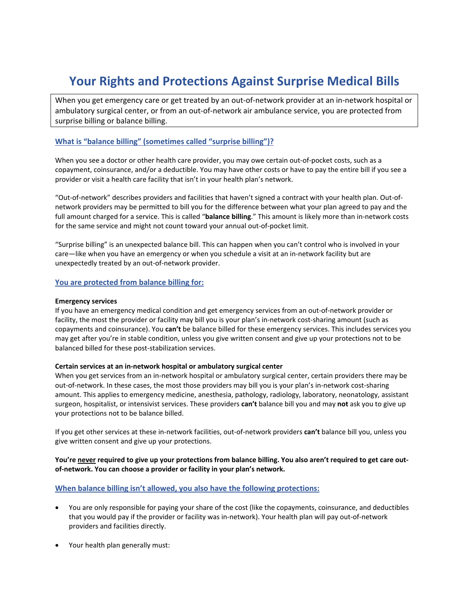# **Your Rights and Protections Against Surprise Medical Bills**

When you get emergency care or get treated by an out-of-network provider at an in-network hospital or ambulatory surgical center, or from an out-of-network air ambulance service, you are protected from surprise billing or balance billing.

# **What is "balance billing" (sometimes called "surprise billing")?**

When you see a doctor or other health care provider, you may owe certain out-of-pocket costs, such as a copayment, coinsurance, and/or a deductible. You may have other costs or have to pay the entire bill if you see a provider or visit a health care facility that isn't in your health plan's network.

"Out-of-network" describes providers and facilities that haven't signed a contract with your health plan. Out-ofnetwork providers may be permitted to bill you for the difference between what your plan agreed to pay and the full amount charged for a service. This is called "**balance billing**." This amount is likely more than in-network costs for the same service and might not count toward your annual out-of-pocket limit.

"Surprise billing" is an unexpected balance bill. This can happen when you can't control who is involved in your care—like when you have an emergency or when you schedule a visit at an in-network facility but are unexpectedly treated by an out-of-network provider.

# **You are protected from balance billing for:**

# **Emergency services**

If you have an emergency medical condition and get emergency services from an out-of-network provider or facility, the most the provider or facility may bill you is your plan's in-network cost-sharing amount (such as copayments and coinsurance). You **can't** be balance billed for these emergency services. This includes services you may get after you're in stable condition, unless you give written consent and give up your protections not to be balanced billed for these post-stabilization services.

## **Certain services at an in-network hospital or ambulatory surgical center**

When you get services from an in-network hospital or ambulatory surgical center, certain providers there may be out-of-network. In these cases, the most those providers may bill you is your plan's in-network cost-sharing amount. This applies to emergency medicine, anesthesia, pathology, radiology, laboratory, neonatology, assistant surgeon, hospitalist, or intensivist services. These providers **can't** balance bill you and may **not** ask you to give up your protections not to be balance billed.

If you get other services at these in-network facilities, out-of-network providers **can't** balance bill you, unless you give written consent and give up your protections.

# **You're never required to give up your protections from balance billing. You also aren't required to get care outof-network. You can choose a provider or facility in your plan's network.**

# **When balance billing isn't allowed, you also have the following protections:**

- You are only responsible for paying your share of the cost (like the copayments, coinsurance, and deductibles that you would pay if the provider or facility was in-network). Your health plan will pay out-of-network providers and facilities directly.
- Your health plan generally must: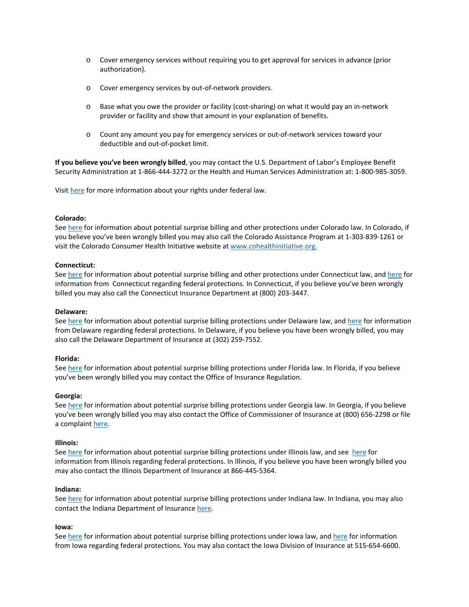- o Cover emergency services without requiring you to get approval for services in advance (prior authorization).
- o Cover emergency services by out-of-network providers.
- $\circ$  Base what you owe the provider or facility (cost-sharing) on what it would pay an in-network provider or facility and show that amount in your explanation of benefits.
- o Count any amount you pay for emergency services or out-of-network services toward your deductible and out-of-pocket limit.

**If you believe you've been wrongly billed**, you may contact the U.S. Department of Labor's Employee Benefit Security Administration at 1-866-444-3272 or the Health and Human Services Administration at: 1-800-985-3059.

Visit [here](https://www.dol.gov/agencies/ebsa/laws-and-regulations/laws/no-surprises-act) for more information about your rights under federal law.

## **Colorado:**

See [here](https://cohealthinitiative.org/need-help/surprise-medical-bills/) for information about potential surprise billing and other protections under Colorado law. In Colorado, if you believe you've been wrongly billed you may also call the Colorado Assistance Program at 1-303-839-1261 or visit the Colorado Consumer Health Initiative website at [www.cohealthinitiative.org.](http://www.cohealthinitiative.org/)

## **Connecticut:**

See [here](https://portal.ct.gov/CID/General-Consumer-Information/No-Surprises-Act) for information about potential surprise billing and other protections under Connecticut law, and here for information from Connecticut regarding federal protections. In Connecticut, if you believe you've been wrongly billed you may also call the Connecticut Insurance Department at (800) 203-3447.

## **Delaware:**

See [here](https://www.commonwealthfund.org/publications/maps-and-interactives/2021/feb/state-balance-billing-protections) for information about potential surprise billing protections under Delaware law, and [here](https://insurance.delaware.gov/wp-content/uploads/sites/15/2021/12/domestic-foreign-insurers-bulletin-no127.pdf) for information from Delaware regarding federal protections. In Delaware, if you believe you have been wrongly billed, you may also call the Delaware Department of Insurance at (302) 259-7552.

## **Florida:**

See [here](https://www.commonwealthfund.org/publications/maps-and-interactives/2021/feb/state-balance-billing-protections) for information about potential surprise billing protections under Florida law. In Florida, if you believe you've been wrongly billed you may contact the Office of Insurance Regulation.

#### **Georgia:**

See [here](https://www.commonwealthfund.org/publications/maps-and-interactives/2021/feb/state-balance-billing-protections) for information about potential surprise billing protections under Georgia law. In Georgia, if you believe you've been wrongly billed you may also contact the Office of Commissioner of Insurance at (800) 656-2298 or file a complaint [here.](https://oci.georgia.gov/insurance-resources/complaints-fraud)

## **Illinois:**

See [here](https://www.team-iha.org/files/non-gated/finance/no-surprises-act-member-memo-020121.aspx?ext=.pdf) for information about potential surprise billing protections under Illinois law, and see here for information from Illinois regarding federal protections. In Illinois, if you believe you have been wrongly billed you may also contact the Illinois Department of Insurance at 866-445-5364.

#### **Indiana:**

See [here](https://www.commonwealthfund.org/publications/maps-and-interactives/2021/feb/state-balance-billing-protections) for information about potential surprise billing protections under Indiana law. In Indiana, you may also contact the Indiana Department of Insuranc[e here.](https://www.in.gov/idoi/)

# **Iowa:**

See [here](http://www.legis.iowa.gov/docs/publications/BF/1069201.pdf) for information about potential surprise billing protections under Iowa law, and [here](https://iid.iowa.gov/no-surprises-act) for information from Iowa regarding federal protections. You may also contact the Iowa Division of Insurance at 515-654-6600.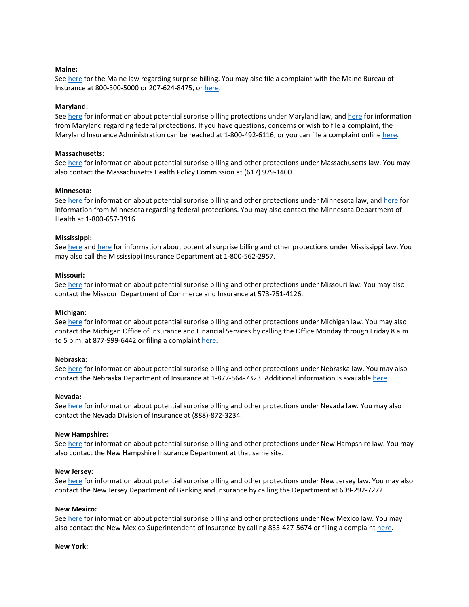## **Maine:**

See [here](https://legislature.maine.gov/statutes/22/title22sec1718-D-1.html) for the Maine law regarding surprise billing. You may also file a complaint with the Maine Bureau of Insurance at 800-300-5000 or 207-624-8475, or here.

#### **Maryland:**

See [here](https://www.commonwealthfund.org/publications/maps-and-interactives/2021/feb/state-balance-billing-protections) for information about potential surprise billing protections under Maryland law, an[d here](https://insurance.maryland.gov/Consumer/Pages/Federal-No-Surprises-Act.aspx) for information from Maryland regarding federal protections. If you have questions, concerns or wish to file a complaint, the Maryland Insurance Administration can be reached at 1-800-492-6116, or you can file a complaint onlin[e here.](https://insurance.maryland.gov/Consumer/Pages/FileAComplaint.aspx)

#### **Massachusetts:**

See [here](https://www.mass.gov/doc/out-of-network-billing-in-massachusetts-chartpack/download) for information about potential surprise billing and other protections under Massachusetts law. You may also contact the Massachusetts Health Policy Commission at (617) 979-1400.

#### **Minnesota:**

See [here](https://www.commonwealthfund.org/publications/maps-and-interactives/2021/feb/state-balance-billing-protections) for information about potential surprise billing and other protections under Minnesota law, and [here](https://www.health.state.mn.us/facilities/insurance/managedcare/faq/nosurprisesact.html) for information from Minnesota regarding federal protections. You may also contact the Minnesota Department of Health at 1-800-657-3916.

#### **Mississippi:**

See [here](https://www.commonwealthfund.org/publications/maps-and-interactives/2021/feb/state-balance-billing-protections) and [here](https://www.mid.ms.gov/healthcare/questionsanswers/TopicTwo.pdf) for information about potential surprise billing and other protections under Mississippi law. You may also call the Mississippi Insurance Department at 1-800-562-2957.

#### **Missouri:**

See [here](https://insurance.mo.gov/consumers/health/documents/NSA-ConsumerBulletin-Dec2021.pdf) for information about potential surprise billing and other protections under Missouri law. You may also contact the Missouri Department of Commerce and Insurance at 573-751-4126.

#### **Michigan:**

See [here](https://www.michigan.gov/difs/0,5269,7-303-13222_13250-561696--,00.html) for information about potential surprise billing and other protections under Michigan law. You may also contact the Michigan Office of Insurance and Financial Services by calling the Office Monday through Friday 8 a.m. to 5 p.m. at 877-999-6442 or filing a complain[t here.](https://www.michigan.gov/difs/0,5269,7-303-12902_12907---,00.html)

#### **Nebraska:**

See [here](https://doi.nebraska.gov/sites/doi.nebraska.gov/files/doc/ConsumerFactSheetBalanceBillingandOutofNetworkProviders.pdf) for information about potential surprise billing and other protections under Nebraska law. You may also contact the Nebraska Department of Insurance at 1-877-564-7323. Additional information is available [here.](http://www.doi.nebraska.gov/)

#### **Nevada:**

See [here](https://doi.nv.gov/Consumers/Health_and_Accident_Insurance/Balance_Billing_FAQs/) for information about potential surprise billing and other protections under Nevada law. You may also contact the Nevada Division of Insurance at (888)-872-3234.

#### **New Hampshire:**

See [here](https://www.nh.gov/insurance/consumers/documents/balance_billing_surprise_billing.pdf) for information about potential surprise billing and other protections under New Hampshire law. You may also contact the New Hampshire Insurance Department at that same site.

#### **New Jersey:**

See [here](https://www.state.nj.us/dobi/division_consumers/insurance/outofnetwork.html) for information about potential surprise billing and other protections under New Jersey law. You may also contact the New Jersey Department of Banking and Insurance by calling the Department at 609-292-7272.

#### **New Mexico:**

See [here](https://rrobserver.com/state-law-protects-you/) for information about potential surprise billing and other protections under New Mexico law. You may also contact the New Mexico Superintendent of Insurance by calling 855-427-5674 or filing a complain[t here.](https://www.osi.state.nm.us/index.php/managed-healthcare-complaint/)

#### **New York:**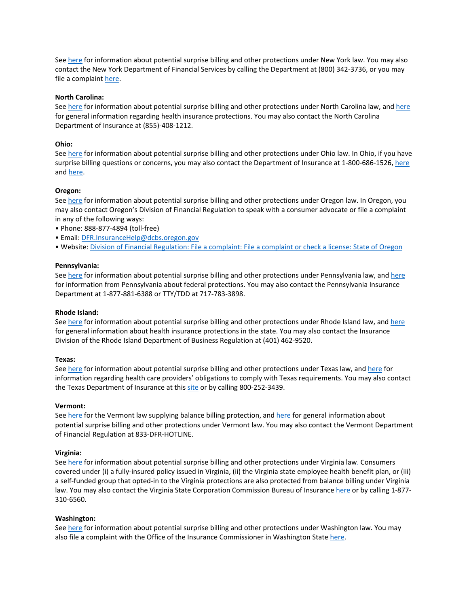See [here](https://www.dfs.ny.gov/consumers/health_insurance/surprise_medical_bills) for information about potential surprise billing and other protections under New York law. You may also contact the New York Department of Financial Services by calling the Department at (800) 342-3736, or you may file a complaint [here.](https://www.dfs.ny.gov/complaint)

## **North Carolina:**

See [here](https://www.commonwealthfund.org/publications/maps-and-interactives/2021/feb/state-balance-billing-protections) for information about potential surprise billing and other protections under North Carolina law, and [here](https://www.ncdoi.gov/consumers/health-insurance) for general information regarding health insurance protections. You may also contact the North Carolina Department of Insurance at (855)-408-1212.

# **Ohio:**

See [here](https://insurance.ohio.gov/strategic-initiatives/surprise-billing/resources/01-surprise-billing-toolkit) for information about potential surprise billing and other protections under Ohio law. In Ohio, if you have surprise billing questions or concerns, you may also contact the Department of Insurance at 1-800-686-1526, [here](mailto:.%20consumer.complaint@insurance.ohio.gov) an[d here.](http://www.insurance.ohio.gov/)

## **Oregon:**

See [here](https://www.oregon.gov/newsroom/pages/newsdetail.aspx?newsid=64697) for information about potential surprise billing and other protections under Oregon law. In Oregon, you may also contact Oregon's Division of Financial Regulation to speak with a consumer advocate or file a complaint in any of the following ways:

- Phone: 888-877-4894 (toll-free)
- Email[: DFR.InsuranceHelp@dcbs.oregon.gov](mailto:DFR.InsuranceHelp@dcbs.oregon.gov)
- Website: [Division of Financial Regulation: File a complaint: File a complaint or check a license: State of Oregon](https://dfr.oregon.gov/help/complaints-licenses/Pages/file-complaint.aspx)

## **Pennsylvania:**

See [here](https://www.commonwealthfund.org/publications/maps-and-interactives/2021/feb/state-balance-billing-protections) for information about potential surprise billing and other protections under Pennsylvania law, an[d here](https://www.insurance.pa.gov/Coverage/health-insurance/no-surprises-act/Pages/default.aspx) for information from Pennsylvania about federal protections. You may also contact the Pennsylvania Insurance Department at 1-877-881-6388 or TTY/TDD at 717-783-3898.

## **Rhode Island:**

See [here](https://dbr.ri.gov/divisions/insurance/) for information about potential surprise billing and other protections under Rhode Island law, and here for general information about health insurance protections in the state. You may also contact the Insurance Division of the Rhode Island Department of Business Regulation at (401) 462-9520.

## **Texas:**

See [here](https://www.tdi.texas.gov/medical-billing/providers.html) for information about potential surprise billing and other protections under Texas law, and here for information regarding health care providers' obligations to comply with Texas requirements. You may also contact the Texas Department of Insurance at this [site](https://www.tdi.texas.gov/medical-billing/providers.html#:%7E:text=Starting%20January%201%2C%202022%2C%20the,have%20a%20choice%20of%20doctors.) or by calling 800-252-3439.

## **Vermont:**

See [here f](https://legislature.vermont.gov/statutes/chapter/33/065)or the Vermont law supplying balance billing protection, and [here](https://www.commonwealthfund.org/publications/maps-and-interactives/2021/feb/state-balance-billing-protections) for general information about potential surprise billing and other protections under Vermont law. You may also contact the Vermont Department of Financial Regulation at 833-DFR-HOTLINE.

## **Virginia:**

See [here](https://scc.virginia.gov/pages/Balance-Billing-Protection) for information about potential surprise billing and other protections under Virginia law. Consumers covered under (i) a fully-insured policy issued in Virginia, (ii) the Virginia state employee health benefit plan, or (iii) a self-funded group that opted-in to the Virginia protections are also protected from balance billing under Virginia law. You may also contact the Virginia State Corporation Commission Bureau of Insurance [here](https://scc.virginia.gov/pages/File-Complaint-Consumers) or by calling 1-877- 310-6560.

## **Washington:**

See [here](https://www.insurance.wa.gov/arbitration-and-using-balance-billing-protection-act-data-set) for information about potential surprise billing and other protections under Washington law. You may also file a complaint with the Office of the Insurance Commissioner in Washington State [here.](https://www.insurance.wa.gov/file-complaint-or-check-your-complaint-status)